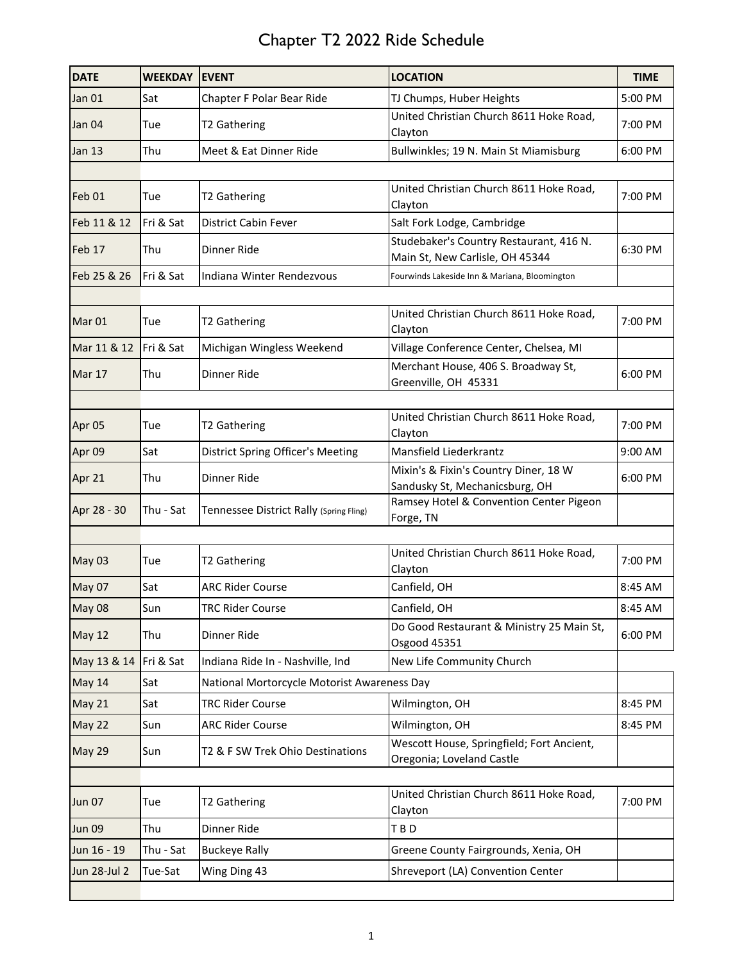| <b>DATE</b>       | <b>WEEKDAY</b> | <b>EVENT</b>                                | <b>LOCATION</b>                                                            | <b>TIME</b> |
|-------------------|----------------|---------------------------------------------|----------------------------------------------------------------------------|-------------|
| Jan 01            | Sat            | Chapter F Polar Bear Ride                   | TJ Chumps, Huber Heights                                                   | 5:00 PM     |
| Jan 04            | Tue            | T2 Gathering                                | United Christian Church 8611 Hoke Road,<br>Clayton                         | 7:00 PM     |
| <b>Jan 13</b>     | Thu            | Meet & Eat Dinner Ride                      | Bullwinkles; 19 N. Main St Miamisburg                                      | 6:00 PM     |
|                   |                |                                             |                                                                            |             |
| Feb <sub>01</sub> | Tue            | T2 Gathering                                | United Christian Church 8611 Hoke Road,<br>Clayton                         | 7:00 PM     |
| Feb 11 & 12       | Fri & Sat      | District Cabin Fever                        | Salt Fork Lodge, Cambridge                                                 |             |
| Feb 17            | Thu            | Dinner Ride                                 | Studebaker's Country Restaurant, 416 N.<br>Main St, New Carlisle, OH 45344 | 6:30 PM     |
| Feb 25 & 26       | Fri & Sat      | Indiana Winter Rendezvous                   | Fourwinds Lakeside Inn & Mariana, Bloomington                              |             |
|                   |                |                                             |                                                                            |             |
| Mar <sub>01</sub> | Tue            | T2 Gathering                                | United Christian Church 8611 Hoke Road,<br>Clayton                         | 7:00 PM     |
| Mar 11 & 12       | Fri & Sat      | Michigan Wingless Weekend                   | Village Conference Center, Chelsea, MI                                     |             |
| <b>Mar 17</b>     | Thu            | Dinner Ride                                 | Merchant House, 406 S. Broadway St,<br>Greenville, OH 45331                | 6:00 PM     |
|                   |                |                                             |                                                                            |             |
| Apr 05            | Tue            | T2 Gathering                                | United Christian Church 8611 Hoke Road,<br>Clayton                         | 7:00 PM     |
| Apr 09            | Sat            | District Spring Officer's Meeting           | Mansfield Liederkrantz                                                     | 9:00 AM     |
| Apr 21            | Thu            | Dinner Ride                                 | Mixin's & Fixin's Country Diner, 18 W<br>Sandusky St, Mechanicsburg, OH    | 6:00 PM     |
| Apr 28 - 30       | Thu - Sat      | Tennessee District Rally (Spring Fling)     | Ramsey Hotel & Convention Center Pigeon<br>Forge, TN                       |             |
|                   |                |                                             |                                                                            |             |
| May 03            | Tue            | T2 Gathering                                | United Christian Church 8611 Hoke Road,<br>Clayton                         | 7:00 PM     |
| May 07            | Sat            | <b>ARC Rider Course</b>                     | Canfield, OH                                                               | 8:45 AM     |
| May 08            | Sun            | TRC Rider Course                            | Canfield, OH                                                               | 8:45 AM     |
| <b>May 12</b>     | Thu            | Dinner Ride                                 | Do Good Restaurant & Ministry 25 Main St,<br>Osgood 45351                  | 6:00 PM     |
| May 13 & 14       | Fri & Sat      | Indiana Ride In - Nashville, Ind            | New Life Community Church                                                  |             |
| May 14            | Sat            | National Mortorcycle Motorist Awareness Day |                                                                            |             |
| May 21            | Sat            | <b>TRC Rider Course</b>                     | Wilmington, OH                                                             | 8:45 PM     |
| May 22            | Sun            | <b>ARC Rider Course</b>                     | Wilmington, OH                                                             | 8:45 PM     |
| May 29            | Sun            | T2 & F SW Trek Ohio Destinations            | Wescott House, Springfield; Fort Ancient,<br>Oregonia; Loveland Castle     |             |
|                   |                |                                             |                                                                            |             |
| <b>Jun 07</b>     | Tue            | T2 Gathering                                | United Christian Church 8611 Hoke Road,<br>Clayton                         | 7:00 PM     |
| <b>Jun 09</b>     | Thu            | Dinner Ride                                 | TBD                                                                        |             |
| Jun 16 - 19       | Thu - Sat      | <b>Buckeye Rally</b>                        | Greene County Fairgrounds, Xenia, OH                                       |             |
| Jun 28-Jul 2      | Tue-Sat        | Wing Ding 43                                | Shreveport (LA) Convention Center                                          |             |
|                   |                |                                             |                                                                            |             |

## Chapter T2 2022 Ride Schedule